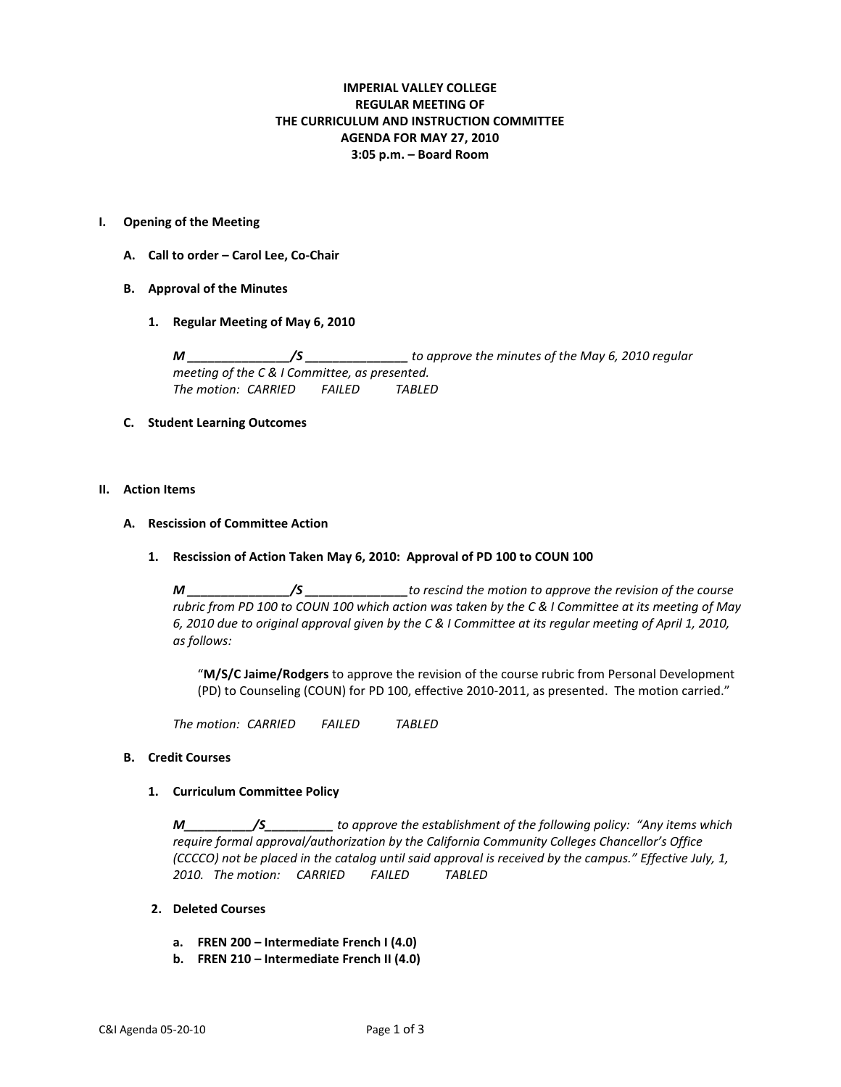# **IMPERIAL VALLEY COLLEGE REGULAR MEETING OF THE CURRICULUM AND INSTRUCTION COMMITTEE AGENDA FOR MAY 27, 2010 3:05 p.m. – Board Room**

#### **I. Opening of the Meeting**

- **A. Call to order – Carol Lee, Co-Chair**
- **B. Approval of the Minutes**
	- **1. Regular Meeting of May 6, 2010**

*M \_\_\_\_\_\_\_\_\_\_\_\_\_\_\_/S \_\_\_\_\_\_\_\_\_\_\_\_\_\_\_ to approve the minutes of the May 6, 2010 regular meeting of the C & I Committee, as presented. The motion: CARRIED FAILED TABLED*

## **C. Student Learning Outcomes**

### **II. Action Items**

### **A. Rescission of Committee Action**

### **1. Rescission of Action Taken May 6, 2010: Approval of PD 100 to COUN 100**

*M \_\_\_\_\_\_\_\_\_\_\_\_\_\_\_/S \_\_\_\_\_\_\_\_\_\_\_\_\_\_\_to rescind the motion to approve the revision of the course rubric from PD 100 to COUN 100 which action was taken by the C & I Committee at its meeting of May 6, 2010 due to original approval given by the C & I Committee at its regular meeting of April 1, 2010, as follows:* 

"**M/S/C Jaime/Rodgers** to approve the revision of the course rubric from Personal Development (PD) to Counseling (COUN) for PD 100, effective 2010-2011, as presented. The motion carried."

*The motion: CARRIED FAILED TABLED*

### **B. Credit Courses**

## **1. Curriculum Committee Policy**

*M\_\_\_\_\_\_\_\_\_\_/S\_\_\_\_\_\_\_\_\_\_ to approve the establishment of the following policy: "Any items which require formal approval/authorization by the California Community Colleges Chancellor's Office (CCCCO) not be placed in the catalog until said approval is received by the campus." Effective July, 1, 2010. The motion: CARRIED FAILED TABLED*

## **2. Deleted Courses**

- **a. FREN 200 – Intermediate French I (4.0)**
- **b. FREN 210 – Intermediate French II (4.0)**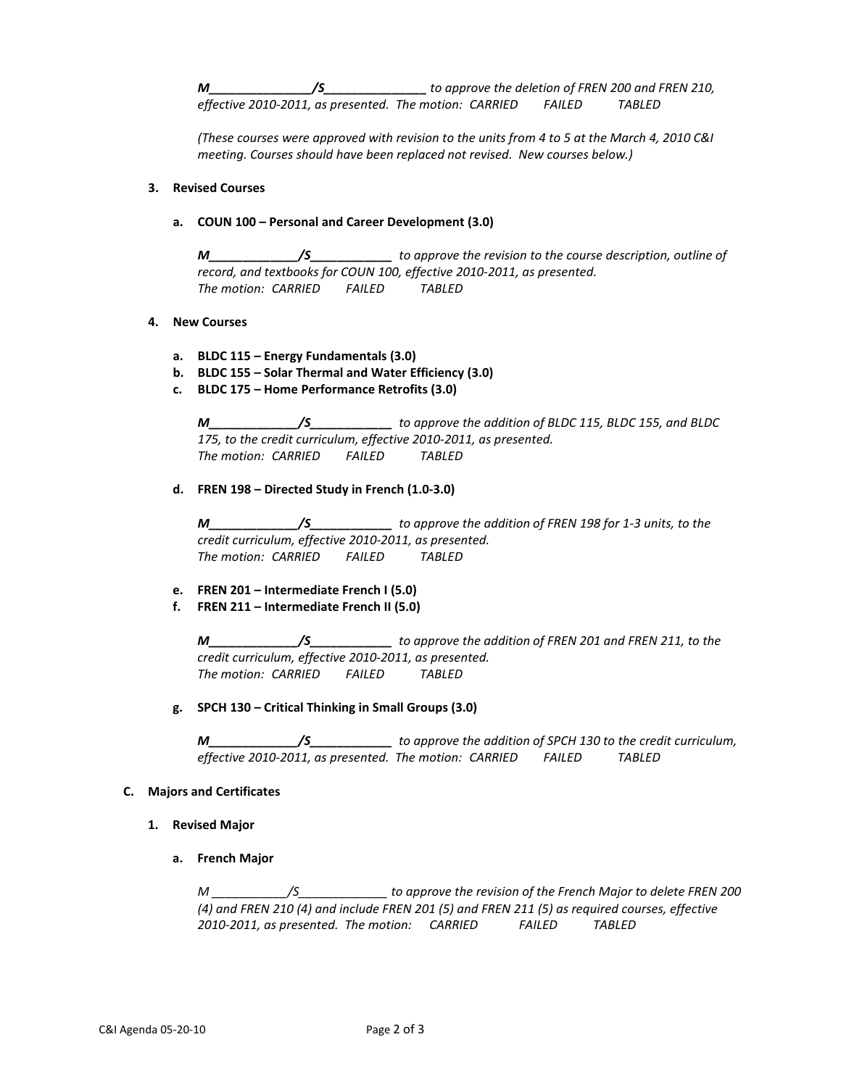*M\_\_\_\_\_\_\_\_\_\_\_\_\_\_\_/S\_\_\_\_\_\_\_\_\_\_\_\_\_\_\_ to approve the deletion of FREN 200 and FREN 210, effective 2010-2011, as presented. The motion: CARRIED FAILED TABLED*

*(These courses were approved with revision to the units from 4 to 5 at the March 4, 2010 C&I meeting. Courses should have been replaced not revised. New courses below.)*

## **3. Revised Courses**

## **a. COUN 100 – Personal and Career Development (3.0)**

*M\_\_\_\_\_\_\_\_\_\_\_\_\_/S\_\_\_\_\_\_\_\_\_\_\_\_ to approve the revision to the course description, outline of record, and textbooks for COUN 100, effective 2010-2011, as presented. The motion: CARRIED FAILED TABLED*

## **4. New Courses**

- **a. BLDC 115 – Energy Fundamentals (3.0)**
- **b. BLDC 155 – Solar Thermal and Water Efficiency (3.0)**
- **c. BLDC 175 – Home Performance Retrofits (3.0)**

*M\_\_\_\_\_\_\_\_\_\_\_\_\_/S\_\_\_\_\_\_\_\_\_\_\_\_ to approve the addition of BLDC 115, BLDC 155, and BLDC 175, to the credit curriculum, effective 2010-2011, as presented. The motion: CARRIED FAILED TABLED*

## **d. FREN 198 – Directed Study in French (1.0-3.0)**

*M\_\_\_\_\_\_\_\_\_\_\_\_\_/S\_\_\_\_\_\_\_\_\_\_\_\_ to approve the addition of FREN 198 for 1-3 units, to the credit curriculum, effective 2010-2011, as presented. The motion: CARRIED FAILED TABLED*

## **e. FREN 201 – Intermediate French I (5.0)**

## **f. FREN 211 – Intermediate French II (5.0)**

*M\_\_\_\_\_\_\_\_\_\_\_\_\_/S\_\_\_\_\_\_\_\_\_\_\_\_ to approve the addition of FREN 201 and FREN 211, to the credit curriculum, effective 2010-2011, as presented. The motion: CARRIED FAILED TABLED*

### **g. SPCH 130 – Critical Thinking in Small Groups (3.0)**

*M\_\_\_\_\_\_\_\_\_\_\_\_\_/S\_\_\_\_\_\_\_\_\_\_\_\_ to approve the addition of SPCH 130 to the credit curriculum, effective 2010-2011, as presented. The motion: CARRIED FAILED TABLED*

### **C. Majors and Certificates**

- **1. Revised Major**
	- **a. French Major**

*M \_\_\_\_\_\_\_\_\_\_\_/S\_\_\_\_\_\_\_\_\_\_\_\_\_ to approve the revision of the French Major to delete FREN 200 (4) and FREN 210 (4) and include FREN 201 (5) and FREN 211 (5) as required courses, effective 2010-2011, as presented. The motion: CARRIED FAILED TABLED*